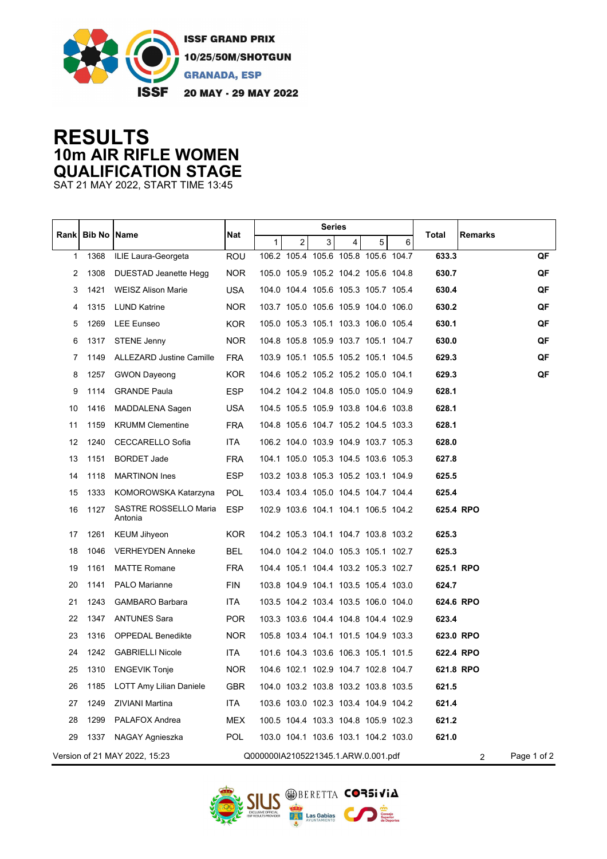

## **RESULTS 10m AIR RIFLE WOMEN QUALIFICATION STAGE**

SAT 21 MAY 2022, START TIME 13:45

|                                                                                        | <b>Bib No   Name</b> |                                  | Nat        | Series |                |                |                                     |   |             |           |         |    |
|----------------------------------------------------------------------------------------|----------------------|----------------------------------|------------|--------|----------------|----------------|-------------------------------------|---|-------------|-----------|---------|----|
| Rank                                                                                   |                      |                                  |            | 1      | 2 <sup>2</sup> | 3 <sup>1</sup> | 4                                   | 5 | 6           | Total     | Remarks |    |
| $\mathbf{1}$                                                                           | 1368                 | ILIE Laura-Georgeta              | <b>ROU</b> |        |                |                | 106.2 105.4 105.6 105.8 105.6 104.7 |   |             | 633.3     |         | QF |
| 2                                                                                      | 1308                 | DUESTAD Jeanette Hegg            | <b>NOR</b> |        |                |                | 105.0 105.9 105.2 104.2 105.6 104.8 |   |             | 630.7     |         | QF |
| 3                                                                                      | 1421                 | <b>WEISZ Alison Marie</b>        | <b>USA</b> |        |                |                | 104.0 104.4 105.6 105.3 105.7 105.4 |   |             | 630.4     |         | QF |
| 4                                                                                      | 1315                 | <b>LUND Katrine</b>              | NOR        |        |                |                | 103.7 105.0 105.6 105.9 104.0 106.0 |   |             | 630.2     |         | QF |
| 5                                                                                      | 1269                 | LEE Eunseo                       | KOR.       |        |                |                | 105.0 105.3 105.1 103.3 106.0 105.4 |   |             | 630.1     |         | QF |
| 6                                                                                      | 1317                 | <b>STENE Jenny</b>               | NOR.       |        |                |                | 104.8 105.8 105.9 103.7 105.1 104.7 |   |             | 630.0     |         | QF |
| 7                                                                                      | 1149                 | ALLEZARD Justine Camille         | <b>FRA</b> |        |                |                | 103.9 105.1 105.5 105.2 105.1 104.5 |   |             | 629.3     |         | QF |
| 8                                                                                      | 1257                 | <b>GWON Dayeong</b>              | <b>KOR</b> |        |                |                | 104.6 105.2 105.2 105.2 105.0 104.1 |   |             | 629.3     |         | QF |
| 9                                                                                      | 1114                 | <b>GRANDE Paula</b>              | <b>ESP</b> |        |                |                | 104.2 104.2 104.8 105.0 105.0 104.9 |   |             | 628.1     |         |    |
| 10                                                                                     | 1416                 | MADDALENA Sagen                  | <b>USA</b> |        |                |                | 104.5 105.5 105.9 103.8 104.6 103.8 |   |             | 628.1     |         |    |
| 11                                                                                     | 1159                 | <b>KRUMM Clementine</b>          | <b>FRA</b> |        |                |                | 104.8 105.6 104.7 105.2 104.5 103.3 |   |             | 628.1     |         |    |
| 12                                                                                     | 1240                 | <b>CECCARELLO Sofia</b>          | <b>ITA</b> |        |                |                | 106.2 104.0 103.9 104.9 103.7 105.3 |   |             | 628.0     |         |    |
| 13                                                                                     | 1151                 | <b>BORDET Jade</b>               | <b>FRA</b> |        |                |                | 104.1 105.0 105.3 104.5 103.6 105.3 |   |             | 627.8     |         |    |
| 14                                                                                     | 1118                 | <b>MARTINON Ines</b>             | <b>ESP</b> |        |                |                | 103.2 103.8 105.3 105.2 103.1 104.9 |   |             | 625.5     |         |    |
| 15                                                                                     | 1333                 | KOMOROWSKA Katarzyna             | POL        |        |                |                | 103.4 103.4 105.0 104.5 104.7 104.4 |   |             | 625.4     |         |    |
| 16                                                                                     | 1127                 | SASTRE ROSSELLO Maria<br>Antonia | <b>ESP</b> |        |                |                | 102.9 103.6 104.1 104.1 106.5 104.2 |   |             | 625.4 RPO |         |    |
| 17                                                                                     | 1261                 | <b>KEUM Jihyeon</b>              | <b>KOR</b> |        |                |                | 104.2 105.3 104.1 104.7 103.8 103.2 |   |             | 625.3     |         |    |
| 18                                                                                     | 1046                 | <b>VERHEYDEN Anneke</b>          | <b>BEL</b> |        |                |                | 104.0 104.2 104.0 105.3 105.1 102.7 |   |             | 625.3     |         |    |
| 19                                                                                     | 1161                 | <b>MATTE Romane</b>              | FRA        |        |                |                | 104.4 105.1 104.4 103.2 105.3 102.7 |   |             | 625.1 RPO |         |    |
| 20                                                                                     | 1141                 | <b>PALO Marianne</b>             | <b>FIN</b> |        |                |                | 103.8 104.9 104.1 103.5 105.4 103.0 |   |             | 624.7     |         |    |
| 21                                                                                     | 1243                 | <b>GAMBARO Barbara</b>           | ITA.       |        |                |                | 103.5 104.2 103.4 103.5 106.0 104.0 |   |             | 624.6 RPO |         |    |
| 22                                                                                     | 1347                 | <b>ANTUNES Sara</b>              | POR        |        |                |                | 103.3 103.6 104.4 104.8 104.4 102.9 |   |             | 623.4     |         |    |
| 23                                                                                     | 1316                 | <b>OPPEDAL Benedikte</b>         | <b>NOR</b> |        |                |                | 105.8 103.4 104.1 101.5 104.9 103.3 |   |             | 623.0 RPO |         |    |
| 24                                                                                     | 1242                 | <b>GABRIELLI Nicole</b>          | <b>ITA</b> |        |                |                | 101.6 104.3 103.6 106.3 105.1 101.5 |   |             | 622.4 RPO |         |    |
| 25                                                                                     | 1310                 | <b>ENGEVIK Tonje</b>             | <b>NOR</b> |        |                |                | 104.6 102.1 102.9 104.7 102.8 104.7 |   |             | 621.8 RPO |         |    |
| 26                                                                                     | 1185                 | LOTT Amy Lilian Daniele          | <b>GBR</b> |        |                |                | 104.0 103.2 103.8 103.2 103.8 103.5 |   |             | 621.5     |         |    |
| 27                                                                                     | 1249                 | ZIVIANI Martina                  | ITA        |        |                |                | 103.6 103.0 102.3 103.4 104.9 104.2 |   |             | 621.4     |         |    |
| 28                                                                                     | 1299                 | PALAFOX Andrea                   | <b>MEX</b> |        |                |                | 100.5 104.4 103.3 104.8 105.9 102.3 |   |             | 621.2     |         |    |
| 29                                                                                     | 1337                 | NAGAY Agnieszka                  | POL        |        |                |                | 103.0 104.1 103.6 103.1 104.2 103.0 |   |             | 621.0     |         |    |
| Version of 21 MAY 2022, 15:23<br>Q000000IA2105221345.1.ARW.0.001.pdf<br>$\overline{2}$ |                      |                                  |            |        |                |                |                                     |   | Page 1 of 2 |           |         |    |